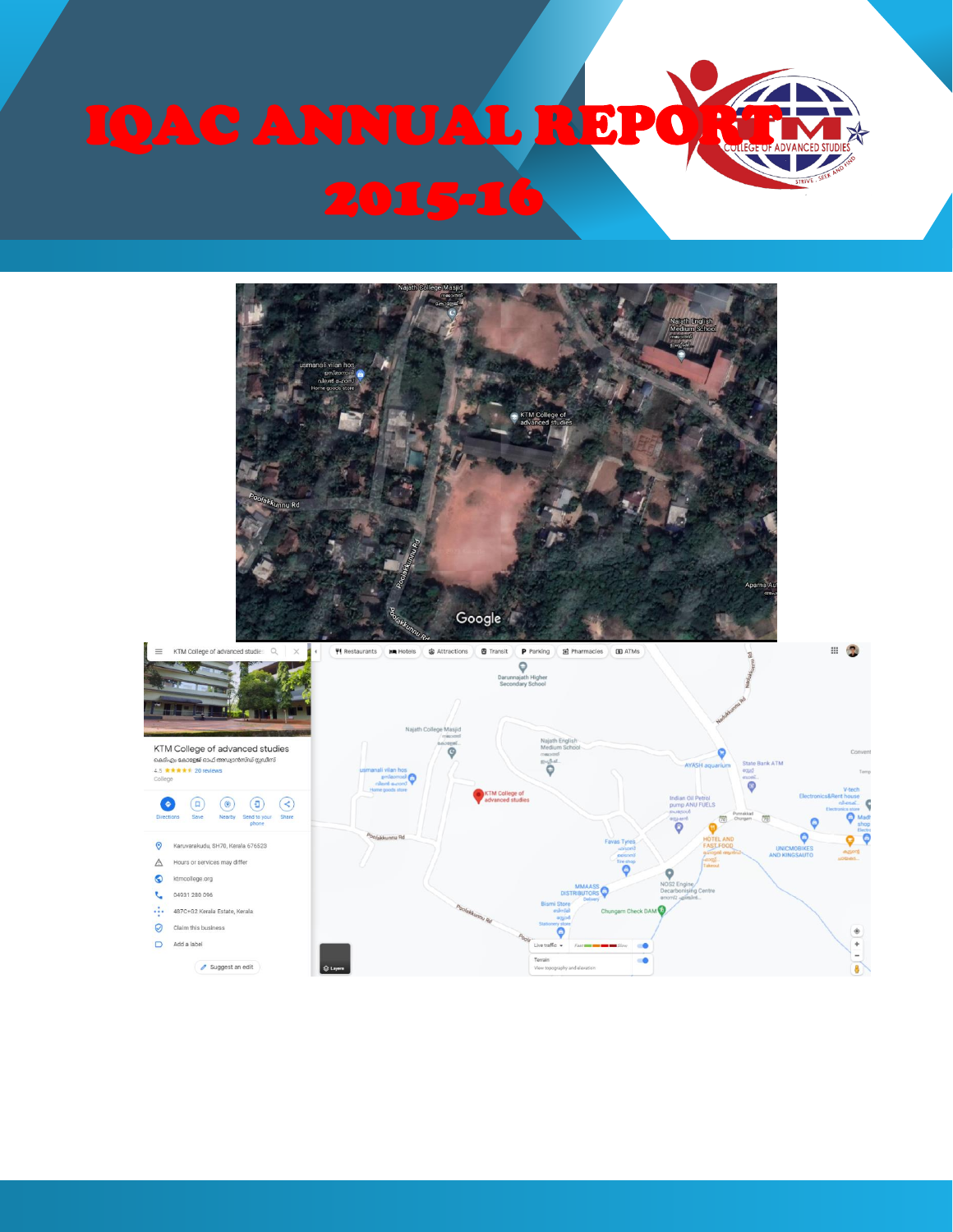

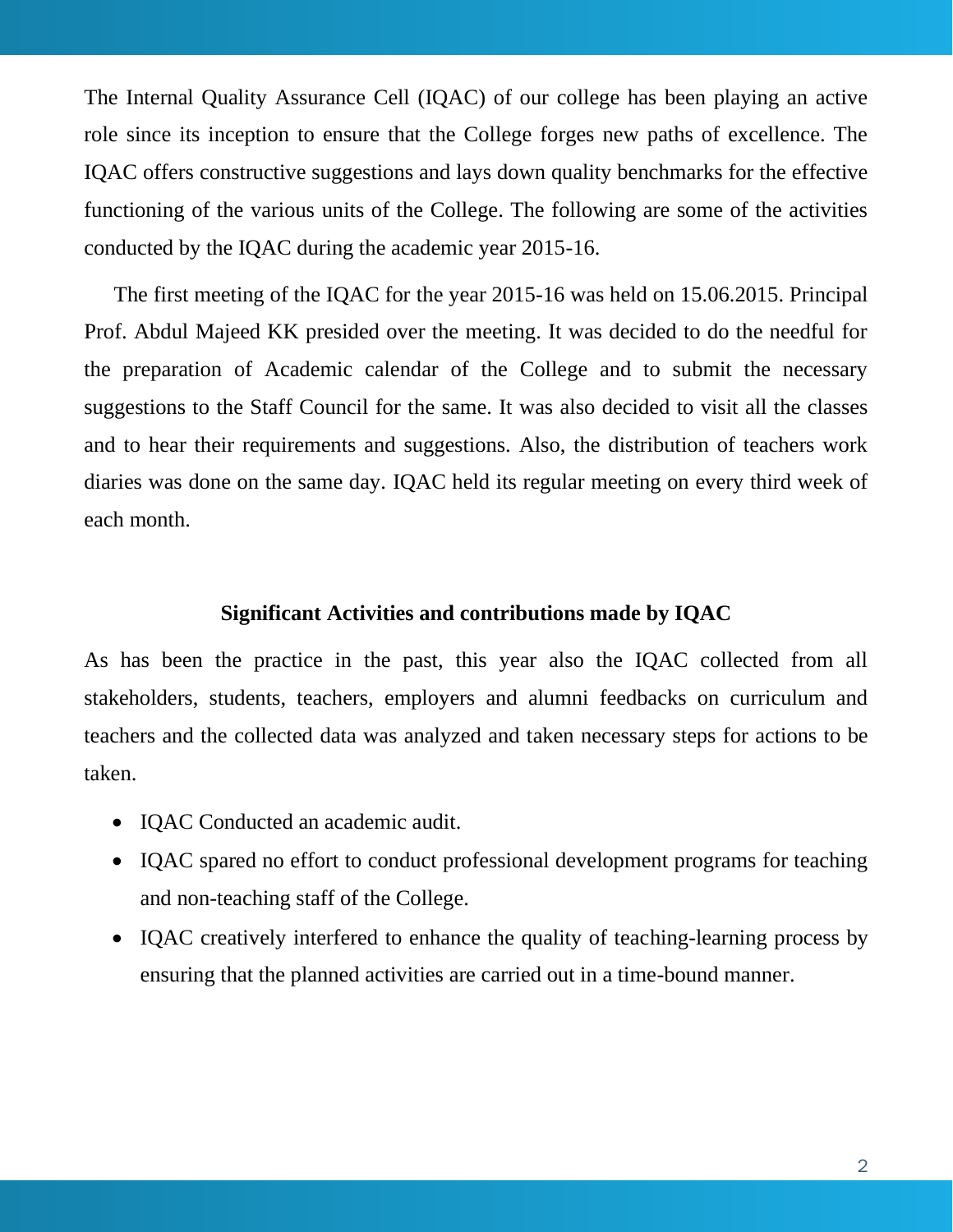The Internal Quality Assurance Cell (IQAC) of our college has been playing an active role since its inception to ensure that the College forges new paths of excellence. The IQAC offers constructive suggestions and lays down quality benchmarks for the effective functioning of the various units of the College. The following are some of the activities conducted by the IQAC during the academic year 2015-16.

The first meeting of the IQAC for the year 2015-16 was held on 15.06.2015. Principal Prof. Abdul Majeed KK presided over the meeting. It was decided to do the needful for the preparation of Academic calendar of the College and to submit the necessary suggestions to the Staff Council for the same. It was also decided to visit all the classes and to hear their requirements and suggestions. Also, the distribution of teachers work diaries was done on the same day. IQAC held its regular meeting on every third week of each month.

#### **Significant Activities and contributions made by IQAC**

As has been the practice in the past, this year also the IQAC collected from all stakeholders, students, teachers, employers and alumni feedbacks on curriculum and teachers and the collected data was analyzed and taken necessary steps for actions to be taken.

- IQAC Conducted an academic audit.
- IQAC spared no effort to conduct professional development programs for teaching and non-teaching staff of the College.
- IQAC creatively interfered to enhance the quality of teaching-learning process by ensuring that the planned activities are carried out in a time-bound manner.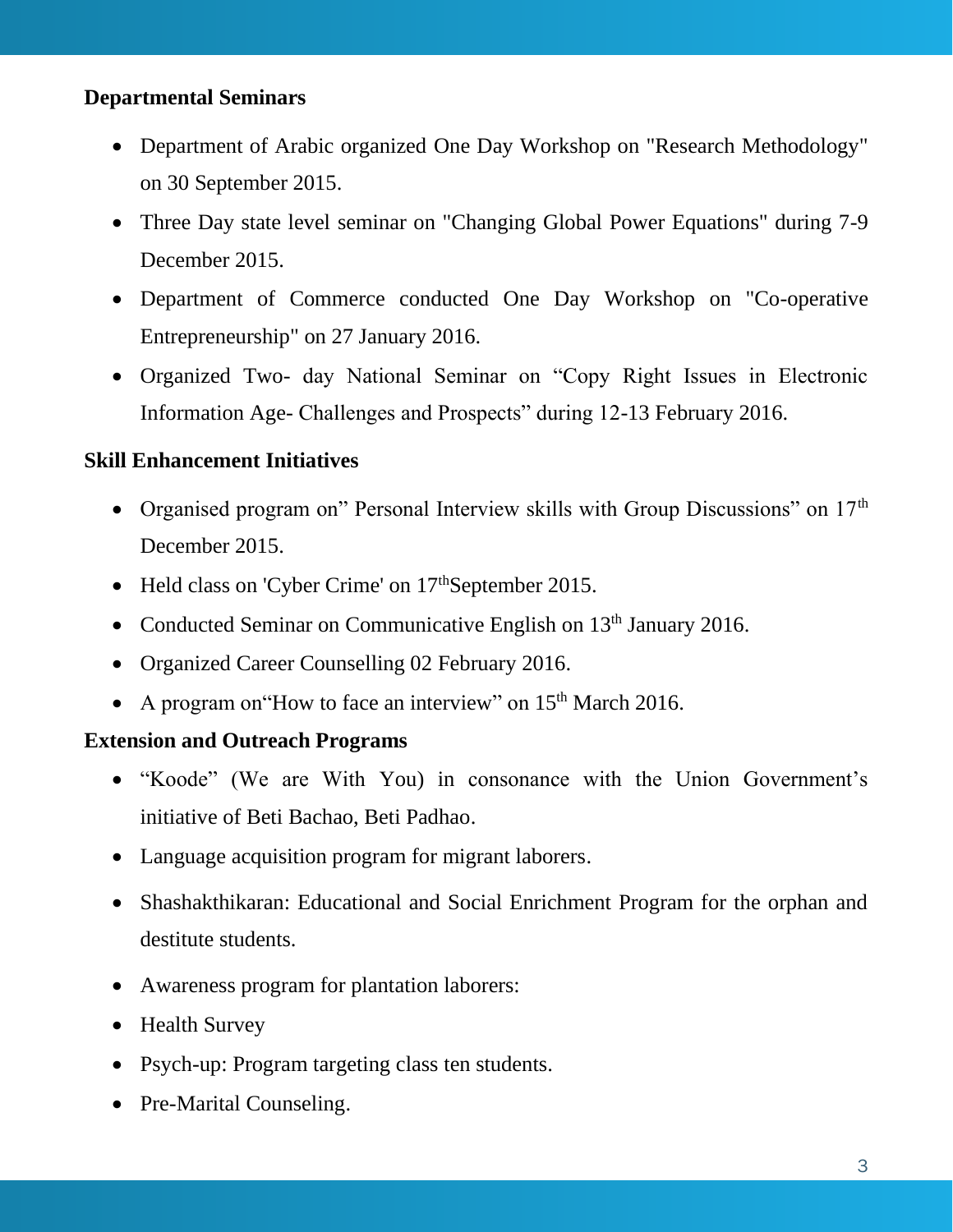# **Departmental Seminars**

- Department of Arabic organized One Day Workshop on "Research Methodology" on 30 September 2015.
- Three Day state level seminar on "Changing Global Power Equations" during 7-9 December 2015.
- Department of Commerce conducted One Day Workshop on "Co-operative Entrepreneurship" on 27 January 2016.
- Organized Two- day National Seminar on "Copy Right Issues in Electronic Information Age- Challenges and Prospects" during 12-13 February 2016.

### **Skill Enhancement Initiatives**

- Organised program on" Personal Interview skills with Group Discussions" on  $17<sup>th</sup>$ December 2015.
- Held class on 'Cyber Crime' on  $17<sup>th</sup>$ September 2015.
- Conducted Seminar on Communicative English on 13<sup>th</sup> January 2016.
- Organized Career Counselling 02 February 2016.
- A program on "How to face an interview" on 15<sup>th</sup> March 2016.

### **Extension and Outreach Programs**

- "Koode" (We are With You) in consonance with the Union Government's initiative of Beti Bachao, Beti Padhao.
- Language acquisition program for migrant laborers.
- Shashakthikaran: Educational and Social Enrichment Program for the orphan and destitute students.
- Awareness program for plantation laborers:
- Health Survey
- Psych-up: Program targeting class ten students.
- Pre-Marital Counseling.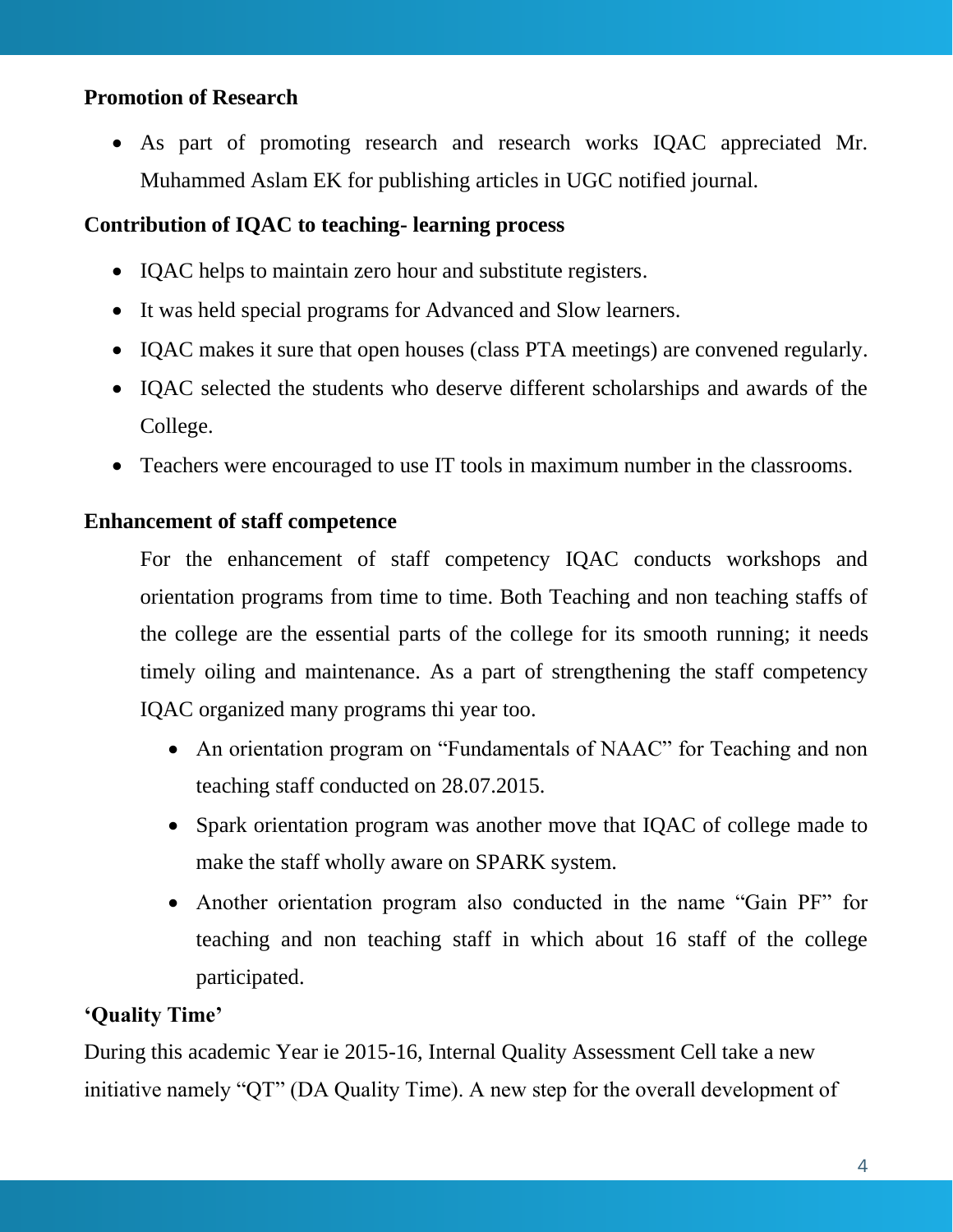# **Promotion of Research**

• As part of promoting research and research works IQAC appreciated Mr. Muhammed Aslam EK for publishing articles in UGC notified journal.

# **Contribution of IQAC to teaching- learning process**

- IQAC helps to maintain zero hour and substitute registers.
- It was held special programs for Advanced and Slow learners.
- IQAC makes it sure that open houses (class PTA meetings) are convened regularly.
- IQAC selected the students who deserve different scholarships and awards of the College.
- Teachers were encouraged to use IT tools in maximum number in the classrooms.

#### **Enhancement of staff competence**

For the enhancement of staff competency IQAC conducts workshops and orientation programs from time to time. Both Teaching and non teaching staffs of the college are the essential parts of the college for its smooth running; it needs timely oiling and maintenance. As a part of strengthening the staff competency IQAC organized many programs thi year too.

- An orientation program on "Fundamentals of NAAC" for Teaching and non teaching staff conducted on 28.07.2015.
- Spark orientation program was another move that IQAC of college made to make the staff wholly aware on SPARK system.
- Another orientation program also conducted in the name "Gain PF" for teaching and non teaching staff in which about 16 staff of the college participated.

### **'Quality Time'**

During this academic Year ie 2015-16, Internal Quality Assessment Cell take a new initiative namely "QT" (DA Quality Time). A new step for the overall development of